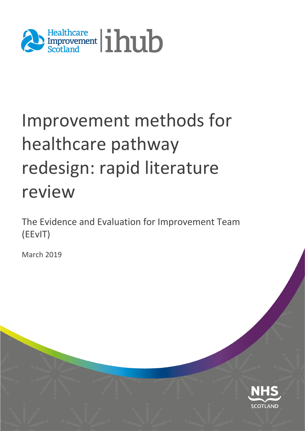

# Improvement methods for healthcare pathway redesign: rapid literature review

The Evidence and Evaluation for Improvement Team (EEvIT)

March 2019

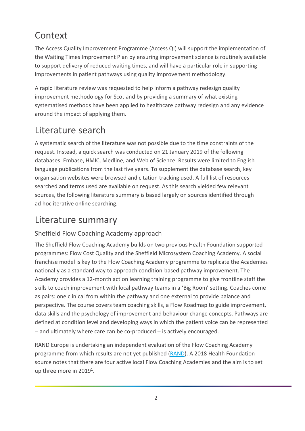# **Context**

The Access Quality Improvement Programme (Access QI) will support the implementation of the Waiting Times Improvement Plan by ensuring improvement science is routinely available to support delivery of reduced waiting times, and will have a particular role in supporting improvements in patient pathways using quality improvement methodology.

A rapid literature review was requested to help inform a pathway redesign quality improvement methodology for Scotland by providing a summary of what existing systematised methods have been applied to healthcare pathway redesign and any evidence around the impact of applying them.

## Literature search

A systematic search of the literature was not possible due to the time constraints of the request. Instead, a quick search was conducted on 21 January 2019 of the following databases: Embase, HMIC, Medline, and Web of Science. Results were limited to English language publications from the last five years. To supplement the database search, key organisation websites were browsed and citation tracking used. A full list of resources searched and terms used are available on request. As this search yielded few relevant sources, the following literature summary is based largely on sources identified through ad hoc iterative online searching.

## Literature summary

## Sheffield Flow Coaching Academy approach

The Sheffield Flow Coaching Academy builds on two previous Health Foundation supported programmes: Flow Cost Quality and the Sheffield Microsystem Coaching Academy. A social franchise model is key to the Flow Coaching Academy programme to replicate the Academies nationally as a standard way to approach condition-based pathway improvement. The Academy provides a 12-month action learning training programme to give frontline staff the skills to coach improvement with local pathway teams in a 'Big Room' setting. Coaches come as pairs: one clinical from within the pathway and one external to provide balance and perspective. The course covers team coaching skills, a Flow Roadmap to guide improvement, data skills and the psychology of improvement and behaviour change concepts. Pathways are defined at condition level and developing ways in which the patient voice can be represented − and ultimately where care can be co-produced – is actively encouraged.

RAND Europe is undertaking an independent evaluation of the Flow Coaching Academy programme from which results are not yet published [\(RAND\)](https://www.rand.org/randeurope/research/projects/evaluating-the-flow-coaching-academy-programme.html). A 2018 Health Foundation source notes that there are four active local Flow Coaching Academies and the aim is to set up three more in 20191.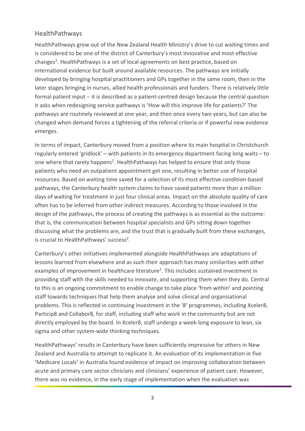#### HealthPathways

HealthPathways grew out of the New Zealand Health Ministry's drive to cut waiting times and is considered to be one of the district of Canterbury's most innovative and most effective changes2. HealthPathways is a set of local agreements on best practice, based on international evidence but built around available resources. The pathways are initially developed by bringing hospital practitioners and GPs together in the same room, then in the later stages bringing in nurses, allied health professionals and funders. There is relatively little formal patient input – it is described as a patient-centred design because the central question it asks when redesigning service pathways is 'How will this improve life for patients?' The pathways are routinely reviewed at one year, and then once every two years, but can also be changed when demand forces a tightening of the referral criteria or if powerful new evidence emerges.

In terms of impact, Canterbury moved from a position where its main hospital in Christchurch regularly entered 'gridlock' – with patients in its emergency department facing long waits – to one where that rarely happens2. HealthPathways has helped to ensure that only those patients who need an outpatient appointment get one, resulting in better use of hospital resources. Based on waiting time saved for a selection of its most effective condition-based pathways, the Canterbury health system claims to have saved patients more than a million days of waiting for treatment in just four clinical areas. Impact on the absolute quality of care often has to be inferred from other indirect measures. According to those involved in the design of the pathways, the process of creating the pathways is as essential as the outcome: that is, the communication between hospital specialists and GPs sitting down together discussing what the problems are, and the trust that is gradually built from these exchanges, is crucial to HealthPathways' success<sup>2</sup>.

Canterbury's other initiatives implemented alongside HealthPathways are adaptations of lessons learned from elsewhere and as such their approach has many similarities with other examples of improvement in healthcare literature<sup>2</sup>. This includes sustained investment in providing staff with the skills needed to innovate, and supporting them when they do. Central to this is an ongoing commitment to enable change to take place 'from within' and pointing staff towards techniques that help them analyse and solve clinical and organisational problems. This is reflected in continuing investment in the '8' programmes, including Xceler8, Particip8 and Collabor8, for staff, including staff who work in the community but are not directly employed by the board. In Xceler8, staff undergo a week-long exposure to lean, six sigma and other system-wide thinking techniques.

HealthPathways' results in Canterbury have been sufficiently impressive for others in New Zealand and Australia to attempt to replicate it. An evaluation of its implementation in five 'Medicare Locals' in Australia found evidence of impact on improving collaboration between acute and primary care sector clinicians and clinicians' experience of patient care. However, there was no evidence, in the early stage of implementation when the evaluation was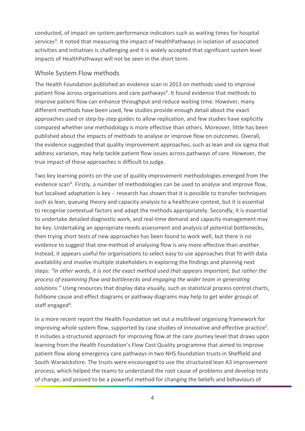conducted, of impact on system performance indicators such as waiting times for hospital services3. It noted that measuring the impact of HealthPathways in isolation of associated activities and initiatives is challenging and it is widely accepted that significant system level impacts of HealthPathways will not be seen in the short term.

#### Whole System Flow methods

The Health Foundation published an evidence scan in 2013 on methods used to improve patient flow across organisations and care pathways4. It found evidence that methods to improve patient flow can enhance throughput and reduce waiting time. However, many different methods have been used, few studies provide enough detail about the exact approaches used or step-by-step guides to allow replication, and few studies have explicitly compared whether one methodology is more effective than others. Moreover, little has been published about the impacts of methods to analyse or improve flow on outcomes. Overall, the evidence suggested that quality improvement approaches, such as lean and six sigma that address variation, may help tackle patient flow issues across pathways of care. However, the true impact of these approaches is difficult to judge.

Two key learning points on the use of quality improvement methodologies emerged from the evidence scan<sup>4</sup>. Firstly, a number of methodologies can be used to analyse and improve flow, but localised adaptation is key – research has shown that it is possible to transfer techniques such as lean, queuing theory and capacity analysis to a healthcare context, but it is essential to recognise contextual factors and adapt the methods appropriately. Secondly, it is essential to undertake detailed diagnostic work, and real-time demand and capacity management may be key. Undertaking an appropriate needs assessment and analysis of potential bottlenecks, then trying short tests of new approaches has been found to work well, but there is no evidence to suggest that one method of analysing flow is any more effective than another. Instead, it appears useful for organisations to select easy to use approaches that fit with data availability and involve multiple stakeholders in exploring the findings and planning next steps: *"In other words, it is not the exact method used that appears important, but rather the process of examining flow and bottlenecks and engaging the wider team in generating solutions."* Using resources that display data visually, such as statistical process control charts, fishbone cause and effect diagrams or pathway diagrams may help to get wider groups of staff engaged<sup>4</sup>.

In a more recent report the Health Foundation set out a multilevel organising framework for improving whole system flow, supported by case studies of innovative and effective practice5. It includes a structured approach for improving flow at the care journey level that draws upon learning from the Health Foundation's Flow Cost Quality programme that aimed to improve patient flow along emergency care pathways in two NHS foundation trusts in Sheffield and South Warwickshire. The trusts were encouraged to use the structured lean A3 improvement process, which helped the teams to understand the root cause of problems and develop tests of change, and proved to be a powerful method for changing the beliefs and behaviours of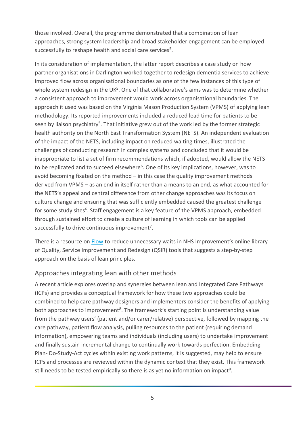those involved. Overall, the programme demonstrated that a combination of lean approaches, strong system leadership and broad stakeholder engagement can be employed successfully to reshape health and social care services<sup>5</sup>.

In its consideration of implementation, the latter report describes a case study on how partner organisations in Darlington worked together to redesign dementia services to achieve improved flow across organisational boundaries as one of the few instances of this type of whole system redesign in the  $UK<sup>5</sup>$ . One of that collaborative's aims was to determine whether a consistent approach to improvement would work across organisational boundaries. The approach it used was based on the Virginia Mason Production System (VPMS) of applying lean methodology. Its reported improvements included a reduced lead time for patients to be seen by liaison psychiatry<sup>5</sup>. That initiative grew out of the work led by the former strategic health authority on the North East Transformation System (NETS). An independent evaluation of the impact of the NETS, including impact on reduced waiting times, illustrated the challenges of conducting research in complex systems and concluded that it would be inappropriate to list a set of firm recommendations which, if adopted, would allow the NETS to be replicated and to succeed elsewhere<sup>6</sup>. One of its key implications, however, was to avoid becoming fixated on the method – in this case the quality improvement methods derived from VPMS – as an end in itself rather than a means to an end, as what accounted for the NETS's appeal and central difference from other change approaches was its focus on culture change and ensuring that was sufficiently embedded caused the greatest challenge for some study sites<sup>6</sup>. Staff engagement is a key feature of the VPMS approach, embedded through sustained effort to create a culture of learning in which tools can be applied successfully to drive continuous improvement<sup>7</sup>.

There is a resource on [Flow](https://improvement.nhs.uk/resources/flow-reduce-unnecessary-waits/) to reduce unnecessary waits in NHS Improvement's online library of Quality, Service Improvement and Redesign (QSIR) tools that suggests a step-by-step approach on the basis of lean principles.

#### Approaches integrating lean with other methods

A recent article explores overlap and synergies between lean and Integrated Care Pathways (ICPs) and provides a conceptual framework for how these two approaches could be combined to help care pathway designers and implementers consider the benefits of applying both approaches to improvement<sup>8</sup>. The framework's starting point is understanding value from the pathway users' (patient and/or carer/relative) perspective, followed by mapping the care pathway, patient flow analysis, pulling resources to the patient (requiring demand information), empowering teams and individuals (including users) to undertake improvement and finally sustain incremental change to continually work towards perfection. Embedding Plan- Do-Study-Act cycles within existing work patterns, it is suggested, may help to ensure ICPs and processes are reviewed within the dynamic context that they exist. This framework still needs to be tested empirically so there is as yet no information on impact<sup>8</sup>.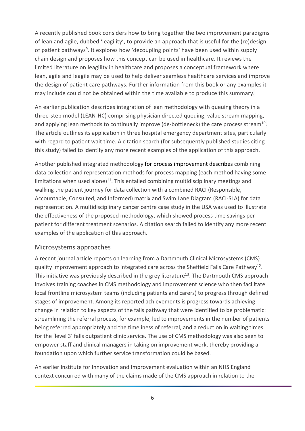A recently published book considers how to bring together the two improvement paradigms of lean and agile, dubbed 'leagility', to provide an approach that is useful for the (re)design of patient pathways<sup>9</sup>. It explores how 'decoupling points' have been used within supply chain design and proposes how this concept can be used in healthcare. It reviews the limited literature on leagility in healthcare and proposes a conceptual framework where lean, agile and leagile may be used to help deliver seamless healthcare services and improve the design of patient care pathways. Further information from this book or any examples it may include could not be obtained within the time available to produce this summary.

An earlier publication describes integration of lean methodology with queuing theory in a three-step model (LEAN-HC) comprising physician directed queuing, value stream mapping, and applying lean methods to continually improve (de-bottleneck) the care process stream<sup>10</sup>. The article outlines its application in three hospital emergency department sites, particularly with regard to patient wait time. A citation search (for subsequently published studies citing this study) failed to identify any more recent examples of the application of this approach.

Another published integrated methodology for process improvement describes combining data collection and representation methods for process mapping (each method having some limitations when used alone) $11$ . This entailed combining multidisciplinary meetings and walking the patient journey for data collection with a combined RACI (Responsible, Accountable, Consulted, and Informed) matrix and Swim Lane Diagram (RACI-SLA) for data representation. A multidisciplinary cancer centre case study in the USA was used to illustrate the effectiveness of the proposed methodology, which showed process time savings per patient for different treatment scenarios. A citation search failed to identify any more recent examples of the application of this approach.

#### Microsystems approaches

A recent journal article reports on learning from a Dartmouth Clinical Microsystems (CMS) quality improvement approach to integrated care across the Sheffield Falls Care Pathway<sup>12</sup>. This initiative was previously described in the grey literature<sup>13</sup>. The Dartmouth CMS approach involves training coaches in CMS methodology and improvement science who then facilitate local frontline microsystem teams (including patients and carers) to progress through defined stages of improvement. Among its reported achievements is progress towards achieving change in relation to key aspects of the falls pathway that were identified to be problematic: streamlining the referral process, for example, led to improvements in the number of patients being referred appropriately and the timeliness of referral, and a reduction in waiting times for the 'level 3' falls outpatient clinic service. The use of CMS methodology was also seen to empower staff and clinical managers in taking on improvement work, thereby providing a foundation upon which further service transformation could be based.

An earlier Institute for Innovation and Improvement evaluation within an NHS England context concurred with many of the claims made of the CMS approach in relation to the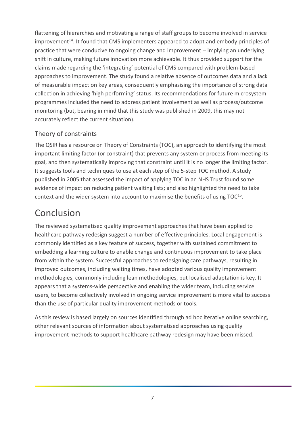flattening of hierarchies and motivating a range of staff groups to become involved in service improvement<sup>14</sup>. It found that CMS implementers appeared to adopt and embody principles of practice that were conducive to ongoing change and improvement – implying an underlying shift in culture, making future innovation more achievable. It thus provided support for the claims made regarding the 'integrating' potential of CMS compared with problem-based approaches to improvement. The study found a relative absence of outcomes data and a lack of measurable impact on key areas, consequently emphasising the importance of strong data collection in achieving 'high performing' status. Its recommendations for future microsystem programmes included the need to address patient involvement as well as process/outcome monitoring (but, bearing in mind that this study was published in 2009, this may not accurately reflect the current situation).

## Theory of constraints

The QSIR has a resource on [Theory of Constraints](https://improvement.nhs.uk/resources/theory-constraints/) (TOC), an approach to identifying the most important limiting factor (or constraint) that prevents any system or process from meeting its goal, and then systematically improving that constraint until it is no longer the limiting factor. It suggests tools and techniques to use at each step of the 5-step TOC method. A study published in 2005 that assessed the impact of applying TOC in an NHS Trust found some evidence of impact on reducing patient waiting lists; and also highlighted the need to take context and the wider system into account to maximise the benefits of using TOC<sup>15</sup>.

## Conclusion

The reviewed systematised quality improvement approaches that have been applied to healthcare pathway redesign suggest a number of effective principles. Local engagement is commonly identified as a key feature of success, together with sustained commitment to embedding a learning culture to enable change and continuous improvement to take place from within the system. Successful approaches to redesigning care pathways, resulting in improved outcomes, including waiting times, have adopted various quality improvement methodologies, commonly including lean methodologies, but localised adaptation is key. It appears that a systems-wide perspective and enabling the wider team, including service users, to become collectively involved in ongoing service improvement is more vital to success than the use of particular quality improvement methods or tools.

As this review is based largely on sources identified through ad hoc iterative online searching, other relevant sources of information about systematised approaches using quality improvement methods to support healthcare pathway redesign may have been missed.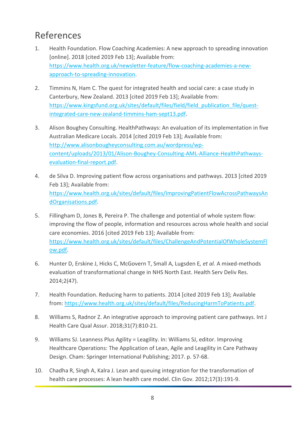## References

- 1. Health Foundation. Flow Coaching Academies: A new approach to spreading innovation [online]. 2018 [cited 2019 Feb 13]; Available from: [https://www.health.org.uk/newsletter-feature/flow-coaching-academies-a-new](https://www.health.org.uk/newsletter-feature/flow-coaching-academies-a-new-approach-to-spreading-innovation)[approach-to-spreading-innovation.](https://www.health.org.uk/newsletter-feature/flow-coaching-academies-a-new-approach-to-spreading-innovation)
- 2. Timmins N, Ham C. The quest for integrated health and social care: a case study in Canterbury, New Zealand. 2013 [cited 2019 Feb 13]; Available from: [https://www.kingsfund.org.uk/sites/default/files/field/field\\_publication\\_file/quest](https://www.kingsfund.org.uk/sites/default/files/field/field_publication_file/quest-integrated-care-new-zealand-timmins-ham-sept13.pdf)[integrated-care-new-zealand-timmins-ham-sept13.pdf.](https://www.kingsfund.org.uk/sites/default/files/field/field_publication_file/quest-integrated-care-new-zealand-timmins-ham-sept13.pdf)
- 3. Alison Boughey Consulting. HealthPathways: An evaluation of its implementation in five Australian Medicare Locals. 2014 [cited 2019 Feb 13]; Available from: [http://www.alisonbougheyconsulting.com.au/wordpress/wp](http://www.alisonbougheyconsulting.com.au/wordpress/wp-content/uploads/2013/01/Alison-Boughey-Consulting-AML-Alliance-HealthPathways-evaluation-final-report.pdf)[content/uploads/2013/01/Alison-Boughey-Consulting-AML-Alliance-HealthPathways](http://www.alisonbougheyconsulting.com.au/wordpress/wp-content/uploads/2013/01/Alison-Boughey-Consulting-AML-Alliance-HealthPathways-evaluation-final-report.pdf)[evaluation-final-report.pdf.](http://www.alisonbougheyconsulting.com.au/wordpress/wp-content/uploads/2013/01/Alison-Boughey-Consulting-AML-Alliance-HealthPathways-evaluation-final-report.pdf)
- 4. de Silva D. Improving patient flow across organisations and pathways. 2013 [cited 2019 Feb 13]; Available from: [https://www.health.org.uk/sites/default/files/ImprovingPatientFlowAcrossPathwaysAn](https://www.health.org.uk/sites/default/files/ImprovingPatientFlowAcrossPathwaysAndOrganisations.pdf) [dOrganisations.pdf.](https://www.health.org.uk/sites/default/files/ImprovingPatientFlowAcrossPathwaysAndOrganisations.pdf)
- 5. Fillingham D, Jones B, Pereira P. The challenge and potential of whole system flow: improving the flow of people, information and resources across whole health and social care economies. 2016 [cited 2019 Feb 13]; Available from: [https://www.health.org.uk/sites/default/files/ChallengeAndPotentialOfWholeSystemFl](https://www.health.org.uk/sites/default/files/ChallengeAndPotentialOfWholeSystemFlow.pdf) [ow.pdf.](https://www.health.org.uk/sites/default/files/ChallengeAndPotentialOfWholeSystemFlow.pdf)
- 6. Hunter D, Erskine J, Hicks C, McGovern T, Small A, Lugsden E*, et al.* A mixed-methods evaluation of transformational change in NHS North East. Health Serv Deliv Res. 2014;2(47).
- 7. Health Foundation. Reducing harm to patients. 2014 [cited 2019 Feb 13]; Available from: [https://www.health.org.uk/sites/default/files/ReducingHarmToPatients.pdf.](https://www.health.org.uk/sites/default/files/ReducingHarmToPatients.pdf)
- 8. Williams S, Radnor Z. An integrative approach to improving patient care pathways. Int J Health Care Qual Assur. 2018;31(7):810-21.
- 9. Williams SJ. Leanness Plus Agility = Leagility. In: Williams SJ, editor. Improving Healthcare Operations: The Application of Lean, Agile and Leagility in Care Pathway Design. Cham: Springer International Publishing; 2017. p. 57-68.
- 10. Chadha R, Singh A, Kalra J. Lean and queuing integration for the transformation of health care processes: A lean health care model. Clin Gov. 2012;17(3):191-9.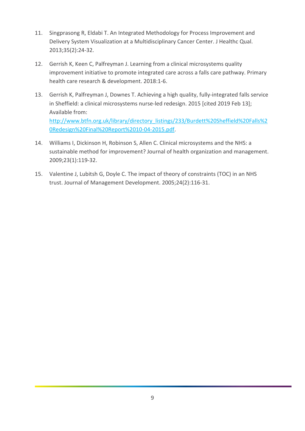- 11. Singprasong R, Eldabi T. An Integrated Methodology for Process Improvement and Delivery System Visualization at a Multidisciplinary Cancer Center. J Healthc Qual. 2013;35(2):24-32.
- 12. Gerrish K, Keen C, Palfreyman J. Learning from a clinical microsystems quality improvement initiative to promote integrated care across a falls care pathway. Primary health care research & development. 2018:1-6.
- 13. Gerrish K, Palfreyman J, Downes T. Achieving a high quality, fully-integrated falls service in Sheffield: a clinical microsystems nurse-led redesign. 2015 [cited 2019 Feb 13]; Available from: [http://www.btfn.org.uk/library/directory\\_listings/233/Burdett%20Sheffield%20Falls%2](http://www.btfn.org.uk/library/directory_listings/233/Burdett%20Sheffield%20Falls%20Redesign%20Final%20Report%2010-04-2015.pdf) [0Redesign%20Final%20Report%2010-04-2015.pdf.](http://www.btfn.org.uk/library/directory_listings/233/Burdett%20Sheffield%20Falls%20Redesign%20Final%20Report%2010-04-2015.pdf)
- 14. Williams I, Dickinson H, Robinson S, Allen C. Clinical microsystems and the NHS: a sustainable method for improvement? Journal of health organization and management. 2009;23(1):119-32.
- 15. Valentine J, Lubitsh G, Doyle C. The impact of theory of constraints (TOC) in an NHS trust. Journal of Management Development. 2005;24(2):116-31.